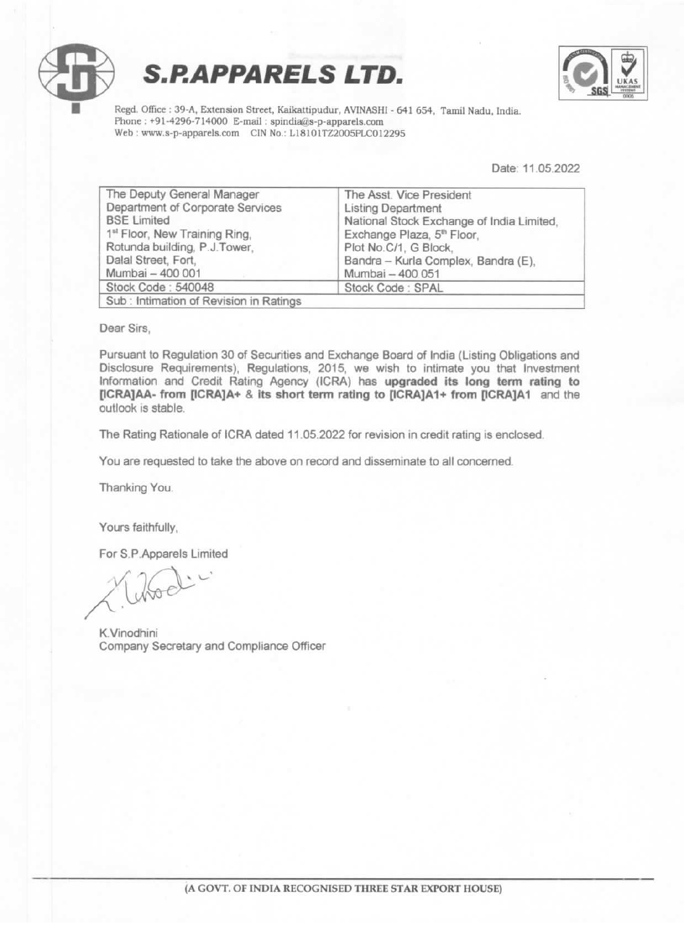





Regd. Office : 39-A, Extension Street, Kaikattipudur, AVINASHI - 641 654, Tamil Nadu, India. Phone : +91-4296-714000 E-mail : spindia@s-p-apparels.com Web: www.s-p-apparels.com CIN No.: L18101TZ2005PLC012295

Date: 11.05.2022

| The Asst. Vice President                  |
|-------------------------------------------|
| <b>Listing Department</b>                 |
| National Stock Exchange of India Limited, |
| Exchange Plaza, 5 <sup>th</sup> Floor,    |
| Plot No.C/1, G Block,                     |
| Bandra - Kurla Complex, Bandra (E),       |
| Mumbai - 400 051                          |
| Stock Code: SPAL                          |
|                                           |
|                                           |

Dear Sirs,

Pursuant to Regulation 30 of Securities and Exchange Board of India (Listing Obligations and Disclosure Requirements), Regulations, 2015, we wish to intimate you that Investment Information and Credit Rating Agency (ICRA) has upgraded its long term rating to [ICRA]AA- from [ICRA]A+ & its short term rating to [ICRA]A1+ from [ICRA]A1 and the outlook 1s stable.

The Rating Rationale of ICRA dated 11.05.2022 for revision in credit rating is enclosed.

You are requested to take the above on record and disseminate to all concerned.

Thanking You.

Yours faithfully,

For S.P. Apparels Limited

Unod'

K.Vinodhini Company Secretary and Compliance Officer